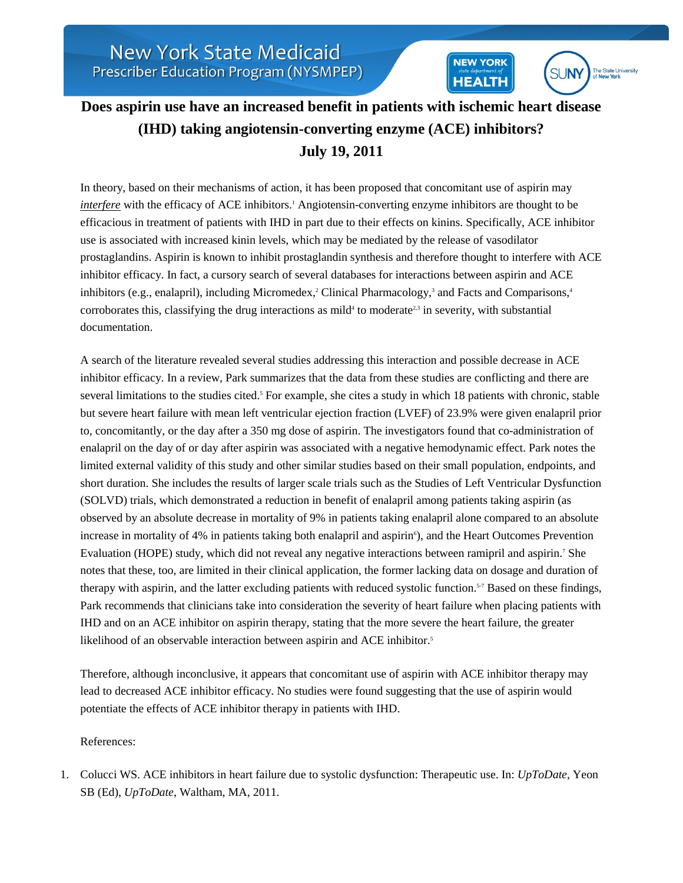## **Does aspirin use have an increased benefit in patients with ischemic heart disease (IHD) taking angiotensin-converting enzyme (ACE) inhibitors? July 19, 2011**

**NEW YORK** 

**HEALTH** 

**SUNY** 

The State University<br>of New York

In theory, based on their mechanisms of action, it has been proposed that concomitant use of aspirin may *interfere* with the efficacy of ACE inhibitors.<sup>1</sup> Angiotensin-converting enzyme inhibitors are thought to be efficacious in treatment of patients with IHD in part due to their effects on kinins. Specifically, ACE inhibitor use is associated with increased kinin levels, which may be mediated by the release of vasodilator prostaglandins. Aspirin is known to inhibit prostaglandin synthesis and therefore thought to interfere with ACE inhibitor efficacy. In fact, a cursory search of several databases for interactions between aspirin and ACE inhibitors (e.g., enalapril), including Micromedex,<sup>2</sup> Clinical Pharmacology,<sup>3</sup> and Facts and Comparisons,<sup>4</sup> corroborates this, classifying the drug interactions as mild<sup>4</sup> to moderate<sup>2,3</sup> in severity, with substantial documentation.

A search of the literature revealed several studies addressing this interaction and possible decrease in ACE inhibitor efficacy. In a review, Park summarizes that the data from these studies are conflicting and there are several limitations to the studies cited.<sup>5</sup> For example, she cites a study in which 18 patients with chronic, stable but severe heart failure with mean left ventricular ejection fraction (LVEF) of 23.9% were given enalapril prior to, concomitantly, or the day after a 350 mg dose of aspirin. The investigators found that co-administration of enalapril on the day of or day after aspirin was associated with a negative hemodynamic effect. Park notes the limited external validity of this study and other similar studies based on their small population, endpoints, and short duration. She includes the results of larger scale trials such as the Studies of Left Ventricular Dysfunction (SOLVD) trials, which demonstrated a reduction in benefit of enalapril among patients taking aspirin (as observed by an absolute decrease in mortality of 9% in patients taking enalapril alone compared to an absolute increase in mortality of 4% in patients taking both enalapril and aspirin<sup>6</sup>), and the Heart Outcomes Prevention Evaluation (HOPE) study, which did not reveal any negative interactions between ramipril and aspirin.<sup>7</sup> She notes that these, too, are limited in their clinical application, the former lacking data on dosage and duration of therapy with aspirin, and the latter excluding patients with reduced systolic function.<sup>5-7</sup> Based on these findings, Park recommends that clinicians take into consideration the severity of heart failure when placing patients with IHD and on an ACE inhibitor on aspirin therapy, stating that the more severe the heart failure, the greater likelihood of an observable interaction between aspirin and ACE inhibitor.<sup>5</sup>

Therefore, although inconclusive, it appears that concomitant use of aspirin with ACE inhibitor therapy may lead to decreased ACE inhibitor efficacy. No studies were found suggesting that the use of aspirin would potentiate the effects of ACE inhibitor therapy in patients with IHD.

## References:

1. Colucci WS. ACE inhibitors in heart failure due to systolic dysfunction: Therapeutic use. In: *UpToDate*, Yeon SB (Ed), *UpToDate*, Waltham, MA, 2011.